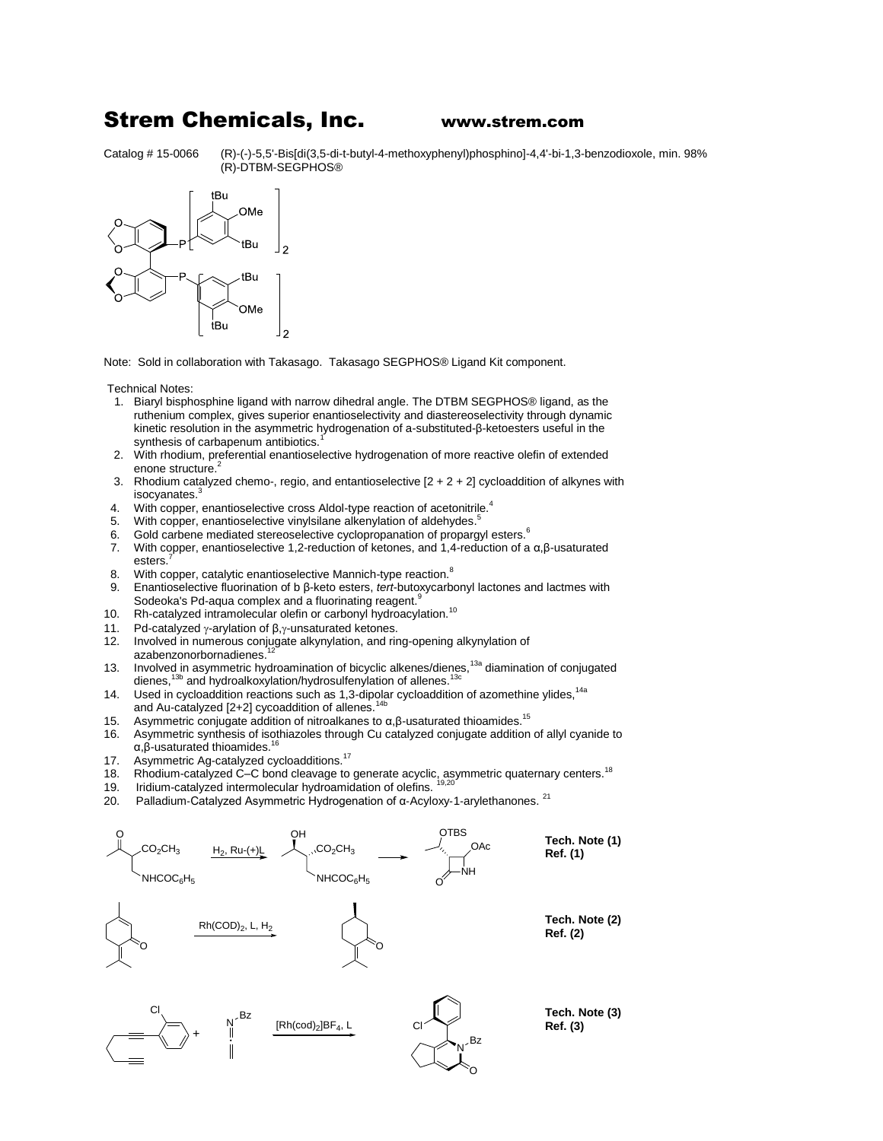## Strem Chemicals, Inc. www.strem.com

Catalog # 15-0066 (R)-(-)-5,5'-Bis[di(3,5-di-t-butyl-4-methoxyphenyl)phosphino]-4,4'-bi-1,3-benzodioxole, min. 98% (R)-DTBM-SEGPHOS®



Note: Sold in collaboration with Takasago. Takasago SEGPHOS® Ligand Kit component.

Technical Notes:

- 1. Biaryl bisphosphine ligand with narrow dihedral angle. The DTBM SEGPHOS® ligand, as the ruthenium complex, gives superior enantioselectivity and diastereoselectivity through dynamic kinetic resolution in the asymmetric hydrogenation of a-substituted-β-ketoesters useful in the synthesis of carbapenum antibiotics.
- 2. With rhodium, preferential enantioselective hydrogenation of more reactive olefin of extended enone structure.<sup>2</sup>
- 3. Rhodium catalyzed chemo-, regio, and entantioselective  $[2 + 2 + 2]$  cycloaddition of alkynes with isocyanates.
- 4. With copper, enantioselective cross Aldol-type reaction of acetonitrile.<sup>4</sup>
- 5. With copper, enantioselective vinylsilane alkenylation of aldehydes.<sup>5</sup>
- 6. Gold carbene mediated stereoselective cyclopropanation of propargyl esters.<sup>6</sup>
- 7. With copper, enantioselective 1,2-reduction of ketones, and 1,4-reduction of a α,β-usaturated esters.
- 8. With copper, catalytic enantioselective Mannich-type reaction.<sup>8</sup>
- 9. Enantioselective fluorination of b β-keto esters, *tert*-butoxycarbonyl lactones and lactmes with Sodeoka's Pd-aqua complex and a fluorinating reagent.
- 10. Rh-catalyzed intramolecular olefin or carbonyl hydroacylation.<sup>10</sup>
- 11. Pd-catalyzed  $γ$ -arylation of  $β, γ$ -unsaturated ketones.
- 12. Involved in numerous conjugate alkynylation, and ring-opening alkynylation of azabenzonorbornadienes.
- 13. Involved in asymmetric hydroamination of bicyclic alkenes/dienes,<sup>13a</sup> diamination of conjugated dienes,<sup>13b</sup> and hydroalkoxylation/hydrosulfenylation of allenes.<sup>13c</sup>
- 14. Used in cycloaddition reactions such as 1,3-dipolar cycloaddition of azomethine ylides,<sup>14a</sup><br>
14<sup>h</sup> and Au-catalyzed  $[2+2]$  cycoaddition of allenes.<sup>1</sup>
- 15. Asymmetric conjugate addition of nitroalkanes to  $\alpha$ ,  $\beta$ -usaturated thioamides.<sup>15</sup>
- 16. Asymmetric synthesis of isothiazoles through Cu catalyzed conjugate addition of allyl cyanide to  $α$ ,β-usaturated thioamides.<sup>1</sup>
- 17. Asymmetric Ag-catalyzed cycloadditions.<sup>17</sup><br>18. Rhodium-catalyzed C–C bond cleavage to
- Rhodium-catalyzed C–C bond cleavage to generate acyclic, asymmetric quaternary centers.<sup>18</sup>
- 19. Iridium-catalyzed intermolecular hydroamidation of olefins.
- 20. Palladium-Catalyzed Asymmetric Hydrogenation of α-Acyloxy-1-arylethanones. <sup>21</sup>

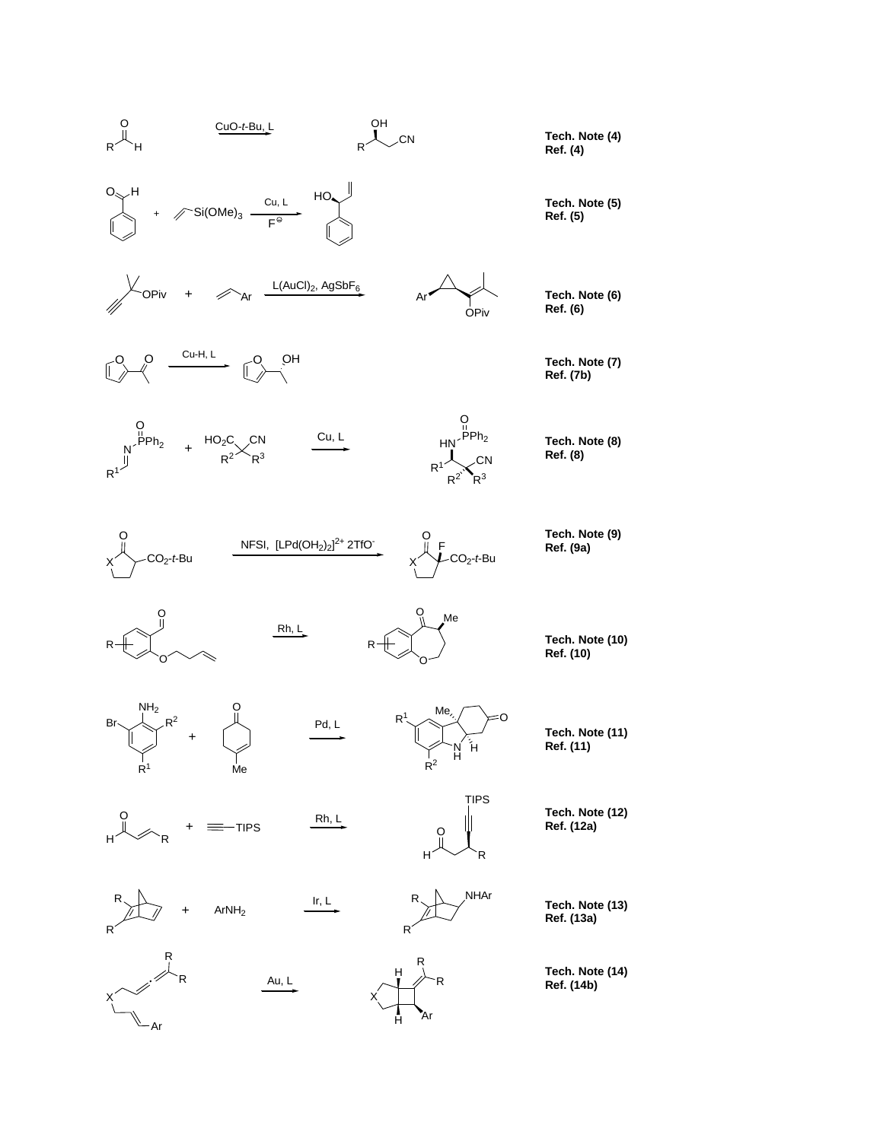